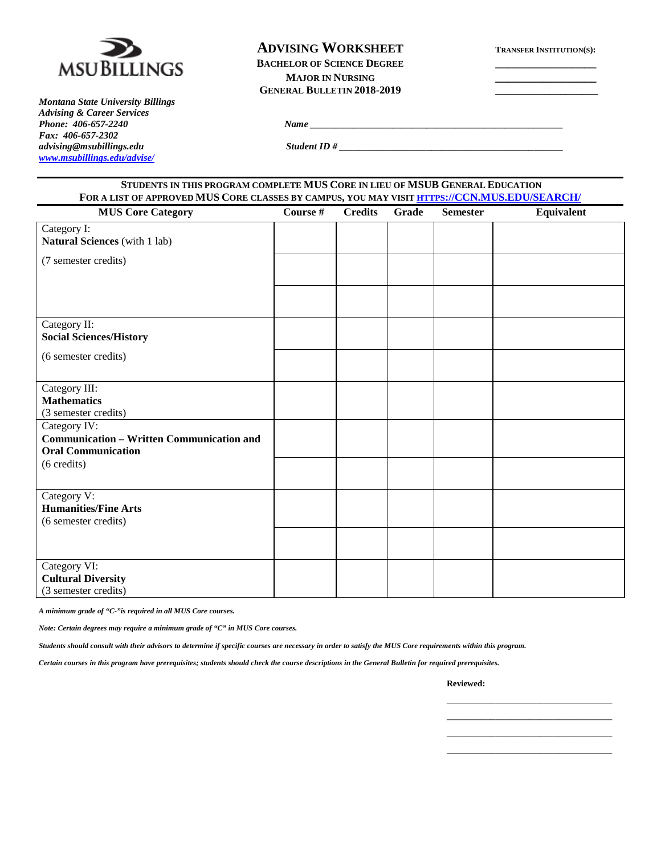

*Montana State University Billings Advising & Career Services Fax: 406-657-2302 advising@msubillings.edu Student ID # \_\_\_\_\_\_\_\_\_\_\_\_\_\_\_\_\_\_\_\_\_\_\_\_\_\_\_\_\_\_\_\_\_\_\_\_\_\_\_\_\_\_\_\_\_\_ [www.msubillings.edu/advise/](http://www.msubillings.edu/advise/)*

**ADVISING WORKSHEET TRANSFER INSTITUTION(S): BACHELOR OF SCIENCE DEGREE MAJOR IN NURSING GENERAL BULLETIN 2018-2019 \_\_\_\_\_\_\_\_\_\_\_\_\_\_\_\_\_\_\_**

*Phone <i>Phone <i>Phone <i>Phone <i>Phone <i>Phone <i>Phone <i> <i> <i> <i><i> <i> <i> <i> <i> <i> <i> <i><b> <i> <i> <i> <i> <i> <i> <i> <i> <i> <i>* 

| STUDENTS IN THIS PROGRAM COMPLETE MUS CORE IN LIEU OF MSUB GENERAL EDUCATION<br>FOR A LIST OF APPROVED MUS CORE CLASSES BY CAMPUS, YOU MAY VISIT HTTPS://CCN.MUS.EDU/SEARCH/ |                                                                      |  |  |  |  |  |  |  |  |
|------------------------------------------------------------------------------------------------------------------------------------------------------------------------------|----------------------------------------------------------------------|--|--|--|--|--|--|--|--|
| <b>MUS Core Category</b>                                                                                                                                                     | Course #<br><b>Credits</b><br>Grade<br>Equivalent<br><b>Semester</b> |  |  |  |  |  |  |  |  |
| Category I:<br><b>Natural Sciences</b> (with 1 lab)                                                                                                                          |                                                                      |  |  |  |  |  |  |  |  |
| (7 semester credits)                                                                                                                                                         |                                                                      |  |  |  |  |  |  |  |  |
|                                                                                                                                                                              |                                                                      |  |  |  |  |  |  |  |  |
| Category II:<br><b>Social Sciences/History</b>                                                                                                                               |                                                                      |  |  |  |  |  |  |  |  |
| (6 semester credits)                                                                                                                                                         |                                                                      |  |  |  |  |  |  |  |  |
| Category III:                                                                                                                                                                |                                                                      |  |  |  |  |  |  |  |  |
| <b>Mathematics</b><br>(3 semester credits)                                                                                                                                   |                                                                      |  |  |  |  |  |  |  |  |
| Category IV:                                                                                                                                                                 |                                                                      |  |  |  |  |  |  |  |  |
| <b>Communication - Written Communication and</b><br><b>Oral Communication</b>                                                                                                |                                                                      |  |  |  |  |  |  |  |  |
| (6 credits)                                                                                                                                                                  |                                                                      |  |  |  |  |  |  |  |  |
| Category V:<br><b>Humanities/Fine Arts</b><br>(6 semester credits)                                                                                                           |                                                                      |  |  |  |  |  |  |  |  |
|                                                                                                                                                                              |                                                                      |  |  |  |  |  |  |  |  |
| Category VI:<br><b>Cultural Diversity</b><br>(3 semester credits)                                                                                                            |                                                                      |  |  |  |  |  |  |  |  |

*A minimum grade of "C-"is required in all MUS Core courses.* 

*Note: Certain degrees may require a minimum grade of "C" in MUS Core courses.* 

*Students should consult with their advisors to determine if specific courses are necessary in order to satisfy the MUS Core requirements within this program.*

*Certain courses in this program have prerequisites; students should check the course descriptions in the General Bulletin for required prerequisites.*

**Reviewed:**

\_\_\_\_\_\_\_\_\_\_\_\_\_\_\_\_\_\_\_\_\_\_\_\_\_\_\_\_\_\_\_\_\_\_ \_\_\_\_\_\_\_\_\_\_\_\_\_\_\_\_\_\_\_\_\_\_\_\_\_\_\_\_\_\_\_\_\_\_ \_\_\_\_\_\_\_\_\_\_\_\_\_\_\_\_\_\_\_\_\_\_\_\_\_\_\_\_\_\_\_\_\_\_ \_\_\_\_\_\_\_\_\_\_\_\_\_\_\_\_\_\_\_\_\_\_\_\_\_\_\_\_\_\_\_\_\_\_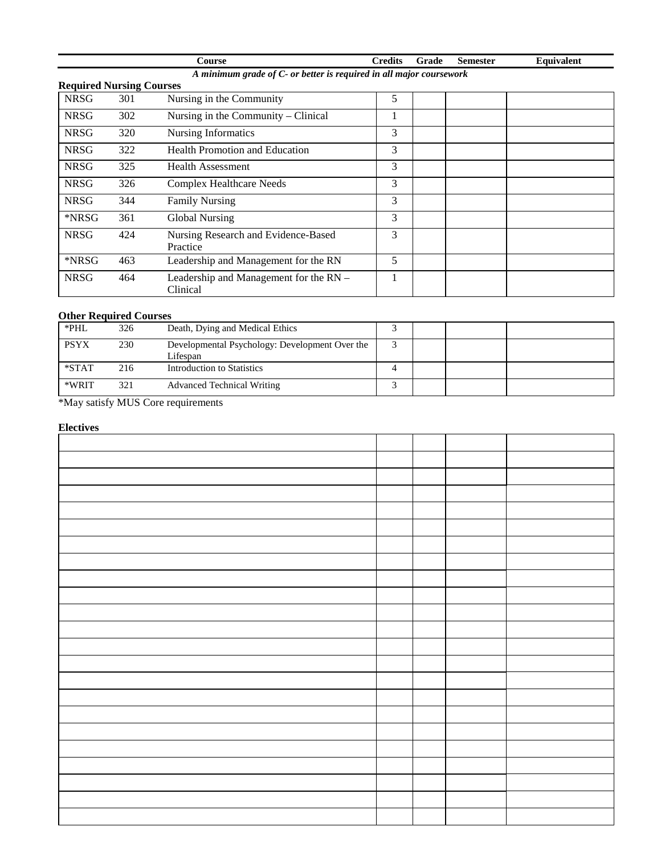|                                 | `ourse                                                              | <b>Predits</b> | Grade | Semester | <b>Equivalent</b> |
|---------------------------------|---------------------------------------------------------------------|----------------|-------|----------|-------------------|
|                                 | A minimum grade of C- or better is required in all major coursework |                |       |          |                   |
| <b>Required Nursing Courses</b> |                                                                     |                |       |          |                   |

| <b>Required Nursing Courses</b> |     |                                                    |   |  |
|---------------------------------|-----|----------------------------------------------------|---|--|
| <b>NRSG</b>                     | 301 | Nursing in the Community                           | 5 |  |
| <b>NRSG</b>                     | 302 | Nursing in the Community – Clinical                |   |  |
| <b>NRSG</b>                     | 320 | <b>Nursing Informatics</b>                         | 3 |  |
| <b>NRSG</b>                     | 322 | <b>Health Promotion and Education</b>              | 3 |  |
| <b>NRSG</b>                     | 325 | Health Assessment                                  | 3 |  |
| <b>NRSG</b>                     | 326 | Complex Healthcare Needs                           | 3 |  |
| <b>NRSG</b>                     | 344 | <b>Family Nursing</b>                              | 3 |  |
| *NRSG                           | 361 | Global Nursing                                     | 3 |  |
| <b>NRSG</b>                     | 424 | Nursing Research and Evidence-Based<br>Practice    | 3 |  |
| *NRSG                           | 463 | Leadership and Management for the RN               | 5 |  |
| <b>NRSG</b>                     | 464 | Leadership and Management for the RN -<br>Clinical |   |  |

# **Other Required Courses**

| *PHL        | 326 | Death, Dying and Medical Ethics                            |  |  |
|-------------|-----|------------------------------------------------------------|--|--|
| <b>PSYX</b> | 230 | Developmental Psychology: Development Over the<br>Lifespan |  |  |
| $*STAT$     | 216 | Introduction to Statistics                                 |  |  |
| *WRIT       | 321 | <b>Advanced Technical Writing</b>                          |  |  |

\*May satisfy MUS Core requirements

# **Electives**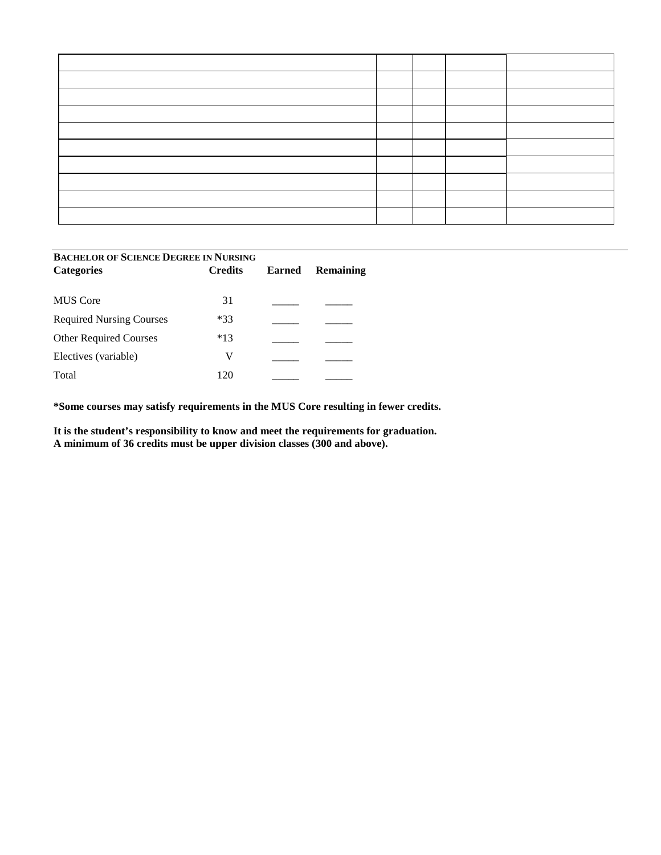| <b>BACHELOR OF SCIENCE DEGREE IN NURSING</b> |                |               |                  |  |  |  |  |
|----------------------------------------------|----------------|---------------|------------------|--|--|--|--|
| <b>Categories</b>                            | <b>Credits</b> | <b>Earned</b> | <b>Remaining</b> |  |  |  |  |
|                                              |                |               |                  |  |  |  |  |
| <b>MUS</b> Core                              | 31             |               |                  |  |  |  |  |
| <b>Required Nursing Courses</b>              | $*33$          |               |                  |  |  |  |  |
| <b>Other Required Courses</b>                | $*13$          |               |                  |  |  |  |  |
| Electives (variable)                         | V              |               |                  |  |  |  |  |
| Total                                        | 120            |               |                  |  |  |  |  |

**\*Some courses may satisfy requirements in the MUS Core resulting in fewer credits.** 

**It is the student's responsibility to know and meet the requirements for graduation. A minimum of 36 credits must be upper division classes (300 and above).**